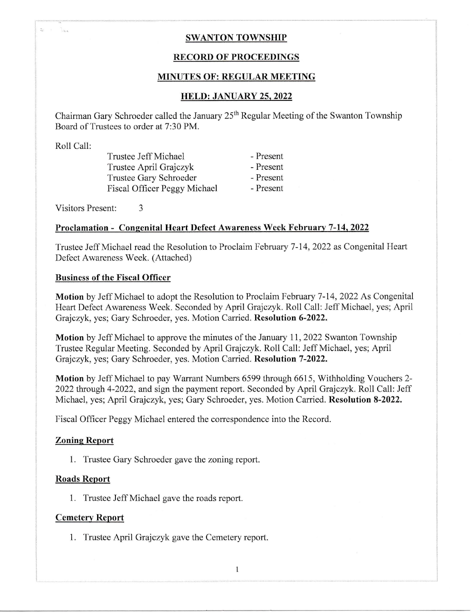### SWANTON TOWNSHIP

#### RECORD OF PROCEEDINGS

#### MINUTES OF: REGULAR MEETING

#### HELD: JANUARY 25. 2022

Chairman Gary Schroeder called the January 25<sup>th</sup> Regular Meeting of the Swanton Township Board of Trustees to order at 7:30 PM.

Roll Call:

 $\epsilon = \frac{1}{2} \frac{1}{2} \frac{1}{2}$ 

 $\geq$ 

Trustee Jeff Michael - Present Trustee April Grajczyk - Present<br>Trustee Gary Schroeder - Present Trustee Gary Schroeder Fiscal Officer Peggy Michael - Present

Visitors Present: <sup>3</sup>

#### Proclamation - Consenital Heart Defect Awareness Week Februarv 7-14. <sup>2022</sup>

Trustee Jeff Michael read the Resolution to Proclaim February 7-14,2022 as Congenital Heart Defect Awareness Week. (Attached)

#### Business of the Fiscal Officer

Motion by Jeff Michael to adopt the Resolution to Proclaim February 7-14, 2022 As Congenital Heart Defect Awareness Week. Seconded by April Grajczyk. Roll Call: Jeff Michael, yes; April Grajczyk, yes; Gary Schroeder, yes. Motion Carried. Resolution 6-2022.

Motion by Jeff Michael to approve the minutes of the January 11,2022 Swanton Township Trustee Regular Meeting. Seconded by April Grajczyk. Roll Call: Jeff Michael, yes; April Grajczyk, yes; Gary Schroeder, yes. Motion Carried. Resolution 7-2022.

Motion by Jeff Michael to pay Warrant Numbers 6599 through 6615, Withholding Vouchers 2-2022 through 4-2022, and sign the payment report. Seconded by April Grajczyk. Roll Call: Jeff Michael, yes; April Grajczyk, yes; Gary Schroeder, yes. Motion Carried. Resolution 8-2022.

Fiscal Officer Peggy Michael entered the correspondence into the Record.

#### Zoning Report

1. Trustee Gary Schroeder gave the zoning report.

#### Roads Report

1. Trustee Jeff Michael gave the roads report.

#### Cemetery Report

1. Trustee April Grajczyk gave the Cemetery report.